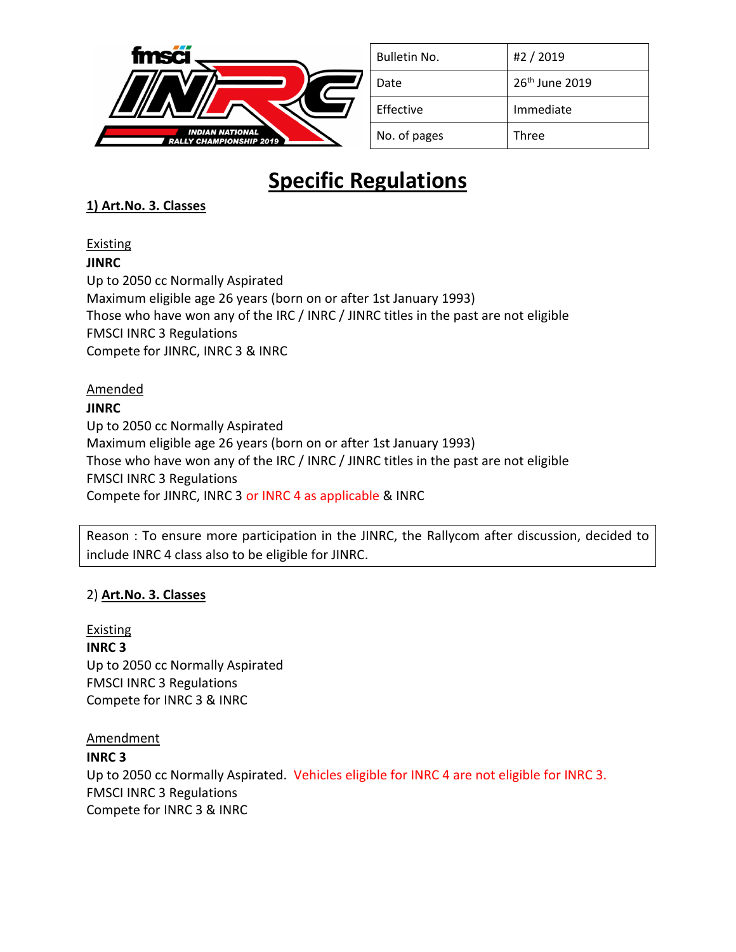

| Bulletin No. | #2 / 2019                  |
|--------------|----------------------------|
| Date         | 26 <sup>th</sup> June 2019 |
| Effective    | Immediate                  |
| No. of pages | Three                      |

# **Specific Regulations**

## **1) Art.No. 3. Classes**

## Existing

**JINRC** 

Up to 2050 cc Normally Aspirated Maximum eligible age 26 years (born on or after 1st January 1993) Those who have won any of the IRC / INRC / JINRC titles in the past are not eligible FMSCI INRC 3 Regulations Compete for JINRC, INRC 3 & INRC

## Amended

## **JINRC**

Up to 2050 cc Normally Aspirated Maximum eligible age 26 years (born on or after 1st January 1993) Those who have won any of the IRC / INRC / JINRC titles in the past are not eligible FMSCI INRC 3 Regulations Compete for JINRC, INRC 3 or INRC 4 as applicable & INRC

Reason : To ensure more participation in the JINRC, the Rallycom after discussion, decided to include INRC 4 class also to be eligible for JINRC.

## 2) **Art.No. 3. Classes**

Existing **INRC 3**  Up to 2050 cc Normally Aspirated FMSCI INRC 3 Regulations Compete for INRC 3 & INRC

## Amendment

## **INRC 3**

Up to 2050 cc Normally Aspirated. Vehicles eligible for INRC 4 are not eligible for INRC 3. FMSCI INRC 3 Regulations Compete for INRC 3 & INRC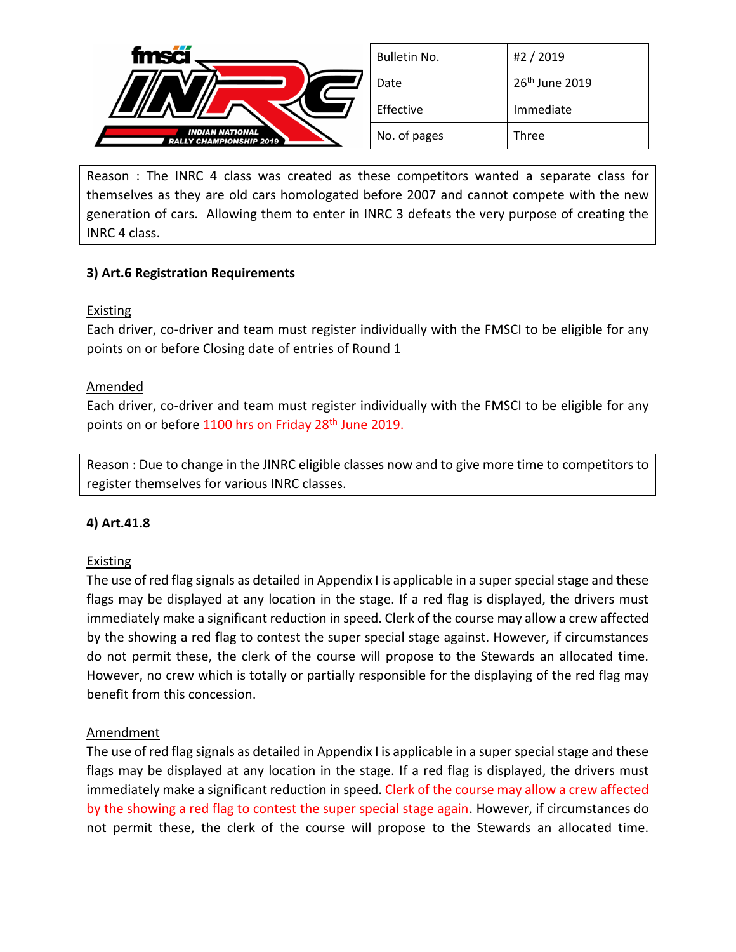

Reason : The INRC 4 class was created as these competitors wanted a separate class for themselves as they are old cars homologated before 2007 and cannot compete with the new generation of cars. Allowing them to enter in INRC 3 defeats the very purpose of creating the INRC 4 class.

## **3) Art.6 Registration Requirements**

## **Existing**

Each driver, co-driver and team must register individually with the FMSCI to be eligible for any points on or before Closing date of entries of Round 1

#### Amended

Each driver, co-driver and team must register individually with the FMSCI to be eligible for any points on or before 1100 hrs on Friday 28<sup>th</sup> June 2019.

Reason : Due to change in the JINRC eligible classes now and to give more time to competitors to register themselves for various INRC classes.

## **4) Art.41.8**

## **Existing**

The use of red flag signals as detailed in Appendix I is applicable in a super special stage and these flags may be displayed at any location in the stage. If a red flag is displayed, the drivers must immediately make a significant reduction in speed. Clerk of the course may allow a crew affected by the showing a red flag to contest the super special stage against. However, if circumstances do not permit these, the clerk of the course will propose to the Stewards an allocated time. However, no crew which is totally or partially responsible for the displaying of the red flag may benefit from this concession.

## Amendment

The use of red flag signals as detailed in Appendix I is applicable in a super special stage and these flags may be displayed at any location in the stage. If a red flag is displayed, the drivers must immediately make a significant reduction in speed. Clerk of the course may allow a crew affected by the showing a red flag to contest the super special stage again. However, if circumstances do not permit these, the clerk of the course will propose to the Stewards an allocated time.